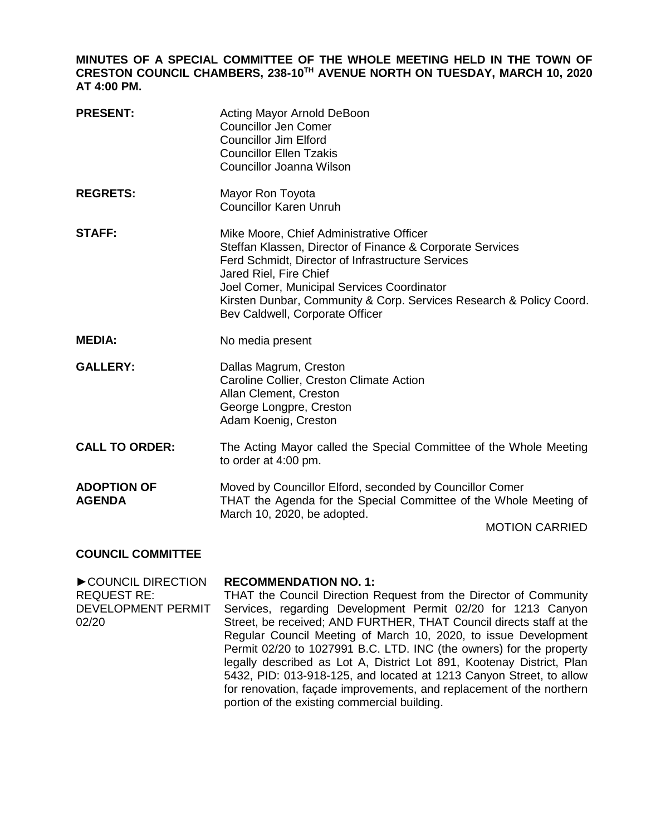**MINUTES OF A SPECIAL COMMITTEE OF THE WHOLE MEETING HELD IN THE TOWN OF CRESTON COUNCIL CHAMBERS, 238-10TH AVENUE NORTH ON TUESDAY, MARCH 10, 2020 AT 4:00 PM.**

| <b>PRESENT:</b>                     | Acting Mayor Arnold DeBoon<br><b>Councillor Jen Comer</b><br><b>Councillor Jim Elford</b><br><b>Councillor Ellen Tzakis</b><br>Councillor Joanna Wilson                                                                                                                                                                                      |
|-------------------------------------|----------------------------------------------------------------------------------------------------------------------------------------------------------------------------------------------------------------------------------------------------------------------------------------------------------------------------------------------|
| <b>REGRETS:</b>                     | Mayor Ron Toyota<br><b>Councillor Karen Unruh</b>                                                                                                                                                                                                                                                                                            |
| <b>STAFF:</b>                       | Mike Moore, Chief Administrative Officer<br>Steffan Klassen, Director of Finance & Corporate Services<br>Ferd Schmidt, Director of Infrastructure Services<br>Jared Riel, Fire Chief<br>Joel Comer, Municipal Services Coordinator<br>Kirsten Dunbar, Community & Corp. Services Research & Policy Coord.<br>Bev Caldwell, Corporate Officer |
| <b>MEDIA:</b>                       | No media present                                                                                                                                                                                                                                                                                                                             |
| <b>GALLERY:</b>                     | Dallas Magrum, Creston<br>Caroline Collier, Creston Climate Action<br>Allan Clement, Creston<br>George Longpre, Creston<br>Adam Koenig, Creston                                                                                                                                                                                              |
| <b>CALL TO ORDER:</b>               | The Acting Mayor called the Special Committee of the Whole Meeting<br>to order at 4:00 pm.                                                                                                                                                                                                                                                   |
| <b>ADOPTION OF</b><br><b>AGENDA</b> | Moved by Councillor Elford, seconded by Councillor Comer<br>THAT the Agenda for the Special Committee of the Whole Meeting of<br>March 10, 2020, be adopted.<br><b>MOTION CARRIED</b>                                                                                                                                                        |

## **COUNCIL COMMITTEE**

►COUNCIL DIRECTION REQUEST RE: DEVELOPMENT PERMIT 02/20 **RECOMMENDATION NO. 1:**  THAT the Council Direction Request from the Director of Community Services, regarding Development Permit 02/20 for 1213 Canyon Street, be received; AND FURTHER, THAT Council directs staff at the Regular Council Meeting of March 10, 2020, to issue Development Permit 02/20 to 1027991 B.C. LTD. INC (the owners) for the property legally described as Lot A, District Lot 891, Kootenay District, Plan 5432, PID: 013-918-125, and located at 1213 Canyon Street, to allow for renovation, façade improvements, and replacement of the northern portion of the existing commercial building.